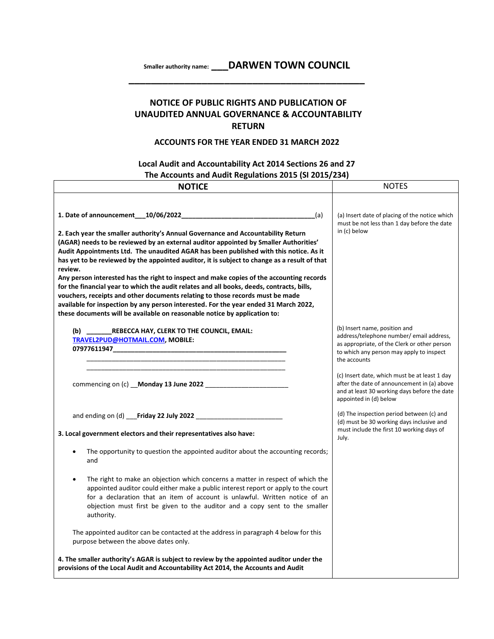**Smaller authority name: \_\_\_DARWEN TOWN COUNCIL \_\_\_\_\_\_\_\_\_\_\_\_\_\_\_\_\_\_\_\_\_\_\_\_\_\_\_\_\_\_\_\_\_\_\_\_\_\_\_\_\_\_**

## **NOTICE OF PUBLIC RIGHTS AND PUBLICATION OF UNAUDITED ANNUAL GOVERNANCE & ACCOUNTABILITY RETURN**

## **ACCOUNTS FOR THE YEAR ENDED 31 MARCH 2022**

## **Local Audit and Accountability Act 2014 Sections 26 and 27 The Accounts and Audit Regulations 2015 (SI 2015/234)**

| <b>NOTICE</b>                                                                                                                                                                                                                                                                                                                                                                                                                                                                                                                                                                                                                                                                                                                                                                                                                      | <b>NOTES</b>                                                                                                                                                                          |
|------------------------------------------------------------------------------------------------------------------------------------------------------------------------------------------------------------------------------------------------------------------------------------------------------------------------------------------------------------------------------------------------------------------------------------------------------------------------------------------------------------------------------------------------------------------------------------------------------------------------------------------------------------------------------------------------------------------------------------------------------------------------------------------------------------------------------------|---------------------------------------------------------------------------------------------------------------------------------------------------------------------------------------|
| (a)<br>2. Each year the smaller authority's Annual Governance and Accountability Return<br>(AGAR) needs to be reviewed by an external auditor appointed by Smaller Authorities'<br>Audit Appointments Ltd. The unaudited AGAR has been published with this notice. As it<br>has yet to be reviewed by the appointed auditor, it is subject to change as a result of that<br>review.<br>Any person interested has the right to inspect and make copies of the accounting records<br>for the financial year to which the audit relates and all books, deeds, contracts, bills,<br>vouchers, receipts and other documents relating to those records must be made<br>available for inspection by any person interested. For the year ended 31 March 2022,<br>these documents will be available on reasonable notice by application to: | (a) Insert date of placing of the notice which<br>must be not less than 1 day before the date<br>in (c) below                                                                         |
| (b) REBECCA HAY, CLERK TO THE COUNCIL, EMAIL:<br>TRAVEL2PUD@HOTMAIL.COM, MOBILE:                                                                                                                                                                                                                                                                                                                                                                                                                                                                                                                                                                                                                                                                                                                                                   | (b) Insert name, position and<br>address/telephone number/ email address,<br>as appropriate, of the Clerk or other person<br>to which any person may apply to inspect<br>the accounts |
|                                                                                                                                                                                                                                                                                                                                                                                                                                                                                                                                                                                                                                                                                                                                                                                                                                    | (c) Insert date, which must be at least 1 day<br>after the date of announcement in (a) above<br>and at least 30 working days before the date<br>appointed in (d) below                |
|                                                                                                                                                                                                                                                                                                                                                                                                                                                                                                                                                                                                                                                                                                                                                                                                                                    | (d) The inspection period between (c) and<br>(d) must be 30 working days inclusive and<br>must include the first 10 working days of                                                   |
| 3. Local government electors and their representatives also have:                                                                                                                                                                                                                                                                                                                                                                                                                                                                                                                                                                                                                                                                                                                                                                  | July.                                                                                                                                                                                 |
| The opportunity to question the appointed auditor about the accounting records;<br>and                                                                                                                                                                                                                                                                                                                                                                                                                                                                                                                                                                                                                                                                                                                                             |                                                                                                                                                                                       |
| The right to make an objection which concerns a matter in respect of which the<br>appointed auditor could either make a public interest report or apply to the court<br>for a declaration that an item of account is unlawful. Written notice of an<br>objection must first be given to the auditor and a copy sent to the smaller<br>authority.                                                                                                                                                                                                                                                                                                                                                                                                                                                                                   |                                                                                                                                                                                       |
| The appointed auditor can be contacted at the address in paragraph 4 below for this<br>purpose between the above dates only.                                                                                                                                                                                                                                                                                                                                                                                                                                                                                                                                                                                                                                                                                                       |                                                                                                                                                                                       |
| 4. The smaller authority's AGAR is subject to review by the appointed auditor under the<br>provisions of the Local Audit and Accountability Act 2014, the Accounts and Audit                                                                                                                                                                                                                                                                                                                                                                                                                                                                                                                                                                                                                                                       |                                                                                                                                                                                       |